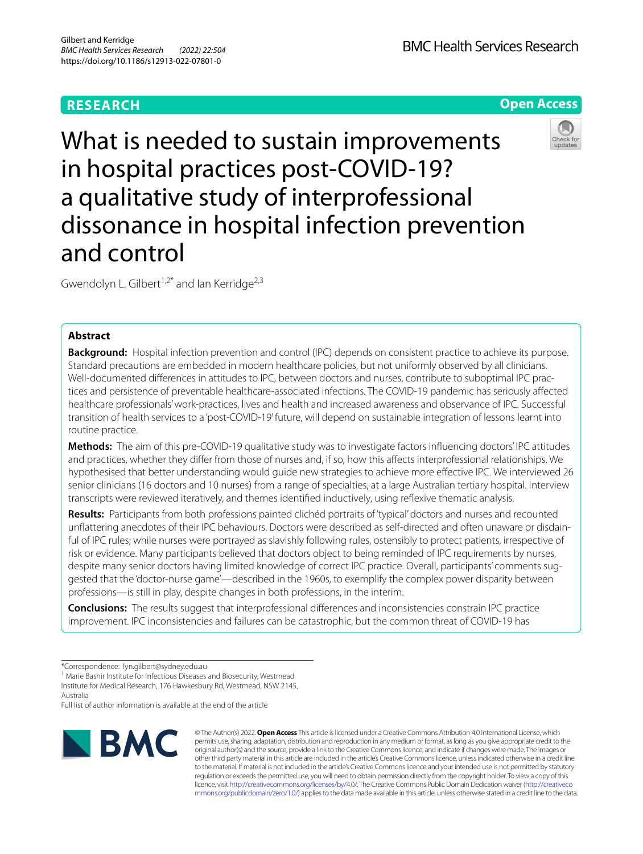## **RESEARCH**

**Open Access**

# What is needed to sustain improvements in hospital practices post-COVID-19? a qualitative study of interprofessional dissonance in hospital infection prevention and control

Gwendolyn L. Gilbert<sup>1,2\*</sup> and Ian Kerridge<sup>2,3</sup>

## **Abstract**

**Background:** Hospital infection prevention and control (IPC) depends on consistent practice to achieve its purpose. Standard precautions are embedded in modern healthcare policies, but not uniformly observed by all clinicians. Well-documented diferences in attitudes to IPC, between doctors and nurses, contribute to suboptimal IPC practices and persistence of preventable healthcare-associated infections. The COVID-19 pandemic has seriously afected healthcare professionals' work-practices, lives and health and increased awareness and observance of IPC. Successful transition of health services to a 'post-COVID-19' future, will depend on sustainable integration of lessons learnt into routine practice.

**Methods:** The aim of this pre-COVID-19 qualitative study was to investigate factors infuencing doctors' IPC attitudes and practices, whether they difer from those of nurses and, if so, how this afects interprofessional relationships. We hypothesised that better understanding would guide new strategies to achieve more efective IPC. We interviewed 26 senior clinicians (16 doctors and 10 nurses) from a range of specialties, at a large Australian tertiary hospital. Interview transcripts were reviewed iteratively, and themes identifed inductively, using refexive thematic analysis.

**Results:** Participants from both professions painted clichéd portraits of 'typical' doctors and nurses and recounted unfattering anecdotes of their IPC behaviours. Doctors were described as self-directed and often unaware or disdainful of IPC rules; while nurses were portrayed as slavishly following rules, ostensibly to protect patients, irrespective of risk or evidence. Many participants believed that doctors object to being reminded of IPC requirements by nurses, despite many senior doctors having limited knowledge of correct IPC practice. Overall, participants' comments suggested that the 'doctor-nurse game'—described in the 1960s, to exemplify the complex power disparity between professions—is still in play, despite changes in both professions, in the interim.

**Conclusions:** The results suggest that interprofessional diferences and inconsistencies constrain IPC practice improvement. IPC inconsistencies and failures can be catastrophic, but the common threat of COVID-19 has

<sup>1</sup> Marie Bashir Institute for Infectious Diseases and Biosecurity, Westmead Institute for Medical Research, 176 Hawkesbury Rd, Westmead, NSW 2145, Australia

Full list of author information is available at the end of the article



© The Author(s) 2022. **Open Access** This article is licensed under a Creative Commons Attribution 4.0 International License, which permits use, sharing, adaptation, distribution and reproduction in any medium or format, as long as you give appropriate credit to the original author(s) and the source, provide a link to the Creative Commons licence, and indicate if changes were made. The images or other third party material in this article are included in the article's Creative Commons licence, unless indicated otherwise in a credit line to the material. If material is not included in the article's Creative Commons licence and your intended use is not permitted by statutory regulation or exceeds the permitted use, you will need to obtain permission directly from the copyright holder. To view a copy of this licence, visit [http://creativecommons.org/licenses/by/4.0/.](http://creativecommons.org/licenses/by/4.0/) The Creative Commons Public Domain Dedication waiver ([http://creativeco](http://creativecommons.org/publicdomain/zero/1.0/) [mmons.org/publicdomain/zero/1.0/](http://creativecommons.org/publicdomain/zero/1.0/)) applies to the data made available in this article, unless otherwise stated in a credit line to the data.



<sup>\*</sup>Correspondence: lyn.gilbert@sydney.edu.au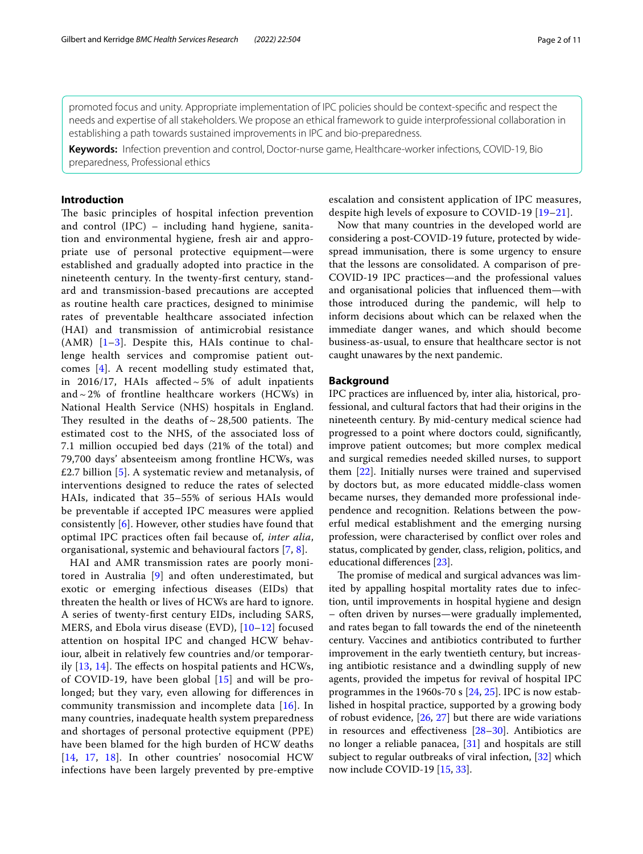promoted focus and unity. Appropriate implementation of IPC policies should be context-specifc and respect the needs and expertise of all stakeholders. We propose an ethical framework to guide interprofessional collaboration in establishing a path towards sustained improvements in IPC and bio-preparedness.

**Keywords:** Infection prevention and control, Doctor-nurse game, Healthcare-worker infections, COVID-19, Bio preparedness, Professional ethics

## **Introduction**

The basic principles of hospital infection prevention and control (IPC) – including hand hygiene, sanitation and environmental hygiene, fresh air and appropriate use of personal protective equipment—were established and gradually adopted into practice in the nineteenth century. In the twenty-frst century, standard and transmission-based precautions are accepted as routine health care practices, designed to minimise rates of preventable healthcare associated infection (HAI) and transmission of antimicrobial resistance  $(AMR)$   $[1-3]$  $[1-3]$ . Despite this, HAIs continue to challenge health services and compromise patient outcomes [[4\]](#page-8-2). A recent modelling study estimated that, in 2016/17, HAIs affected  $\sim$  5% of adult inpatients and  $\sim$  2% of frontline healthcare workers (HCWs) in National Health Service (NHS) hospitals in England. They resulted in the deaths of  $\sim$  28,500 patients. The estimated cost to the NHS, of the associated loss of 7.1 million occupied bed days (21% of the total) and 79,700 days' absenteeism among frontline HCWs, was £2.7 billion [[5\]](#page-8-3). A systematic review and metanalysis, of interventions designed to reduce the rates of selected HAIs, indicated that 35–55% of serious HAIs would be preventable if accepted IPC measures were applied consistently [[6\]](#page-8-4). However, other studies have found that optimal IPC practices often fail because of, *inter alia*, organisational, systemic and behavioural factors [\[7,](#page-8-5) [8](#page-8-6)].

HAI and AMR transmission rates are poorly monitored in Australia [\[9](#page-8-7)] and often underestimated, but exotic or emerging infectious diseases (EIDs) that threaten the health or lives of HCWs are hard to ignore. A series of twenty-frst century EIDs, including SARS, MERS, and Ebola virus disease (EVD), [[10–](#page-9-0)[12\]](#page-9-1) focused attention on hospital IPC and changed HCW behaviour, albeit in relatively few countries and/or temporarily  $[13, 14]$  $[13, 14]$  $[13, 14]$  $[13, 14]$  $[13, 14]$ . The effects on hospital patients and HCWs, of COVID-19, have been global [\[15](#page-9-4)] and will be prolonged; but they vary, even allowing for diferences in community transmission and incomplete data [[16](#page-9-5)]. In many countries, inadequate health system preparedness and shortages of personal protective equipment (PPE) have been blamed for the high burden of HCW deaths [[14](#page-9-3), [17,](#page-9-6) [18](#page-9-7)]. In other countries' nosocomial HCW infections have been largely prevented by pre-emptive escalation and consistent application of IPC measures, despite high levels of exposure to COVID-19 [[19–](#page-9-8)[21](#page-9-9)].

Now that many countries in the developed world are considering a post-COVID-19 future, protected by widespread immunisation, there is some urgency to ensure that the lessons are consolidated. A comparison of pre-COVID-19 IPC practices—and the professional values and organisational policies that infuenced them—with those introduced during the pandemic, will help to inform decisions about which can be relaxed when the immediate danger wanes, and which should become business-as-usual, to ensure that healthcare sector is not caught unawares by the next pandemic.

## **Background**

IPC practices are infuenced by, inter alia*,* historical, professional, and cultural factors that had their origins in the nineteenth century. By mid-century medical science had progressed to a point where doctors could, signifcantly, improve patient outcomes; but more complex medical and surgical remedies needed skilled nurses, to support them [\[22](#page-9-10)]. Initially nurses were trained and supervised by doctors but, as more educated middle-class women became nurses, they demanded more professional independence and recognition. Relations between the powerful medical establishment and the emerging nursing profession, were characterised by confict over roles and status, complicated by gender, class, religion, politics, and educational diferences [\[23](#page-9-11)].

The promise of medical and surgical advances was limited by appalling hospital mortality rates due to infection, until improvements in hospital hygiene and design – often driven by nurses—were gradually implemented, and rates began to fall towards the end of the nineteenth century. Vaccines and antibiotics contributed to further improvement in the early twentieth century, but increasing antibiotic resistance and a dwindling supply of new agents, provided the impetus for revival of hospital IPC programmes in the 1960s-70 s [\[24](#page-9-12), [25\]](#page-9-13). IPC is now established in hospital practice, supported by a growing body of robust evidence, [\[26,](#page-9-14) [27\]](#page-9-15) but there are wide variations in resources and effectiveness  $[28-30]$  $[28-30]$ . Antibiotics are no longer a reliable panacea, [\[31](#page-9-18)] and hospitals are still subject to regular outbreaks of viral infection, [\[32](#page-9-19)] which now include COVID-19 [[15,](#page-9-4) [33](#page-9-20)].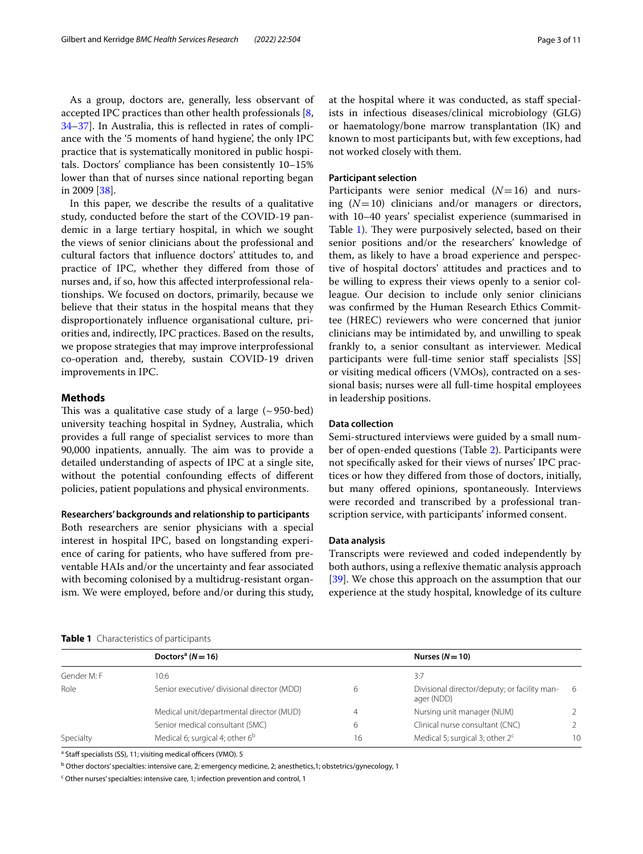As a group, doctors are, generally, less observant of accepted IPC practices than other health professionals [\[8](#page-8-6), [34–](#page-9-21)[37](#page-9-22)]. In Australia, this is refected in rates of compliance with the '5 moments of hand hygiene', the only IPC practice that is systematically monitored in public hospitals. Doctors' compliance has been consistently 10–15% lower than that of nurses since national reporting began in 2009 [\[38](#page-9-23)].

In this paper, we describe the results of a qualitative study, conducted before the start of the COVID-19 pandemic in a large tertiary hospital, in which we sought the views of senior clinicians about the professional and cultural factors that infuence doctors' attitudes to, and practice of IPC, whether they difered from those of nurses and, if so, how this afected interprofessional relationships. We focused on doctors, primarily, because we believe that their status in the hospital means that they disproportionately infuence organisational culture, priorities and, indirectly, IPC practices. Based on the results, we propose strategies that may improve interprofessional co-operation and, thereby, sustain COVID-19 driven improvements in IPC.

#### **Methods**

This was a qualitative case study of a large  $(\sim 950$ -bed) university teaching hospital in Sydney, Australia, which provides a full range of specialist services to more than 90,000 inpatients, annually. The aim was to provide a detailed understanding of aspects of IPC at a single site, without the potential confounding efects of diferent policies, patient populations and physical environments.

#### **Researchers' backgrounds and relationship to participants**

Both researchers are senior physicians with a special interest in hospital IPC, based on longstanding experience of caring for patients, who have sufered from preventable HAIs and/or the uncertainty and fear associated with becoming colonised by a multidrug-resistant organism. We were employed, before and/or during this study,

## **Participant selection**

Participants were senior medical  $(N=16)$  and nursing (*N*=10) clinicians and/or managers or directors, with 10–40 years' specialist experience (summarised in Table [1](#page-2-0)). They were purposively selected, based on their senior positions and/or the researchers' knowledge of them, as likely to have a broad experience and perspective of hospital doctors' attitudes and practices and to be willing to express their views openly to a senior colleague. Our decision to include only senior clinicians was confrmed by the Human Research Ethics Committee (HREC) reviewers who were concerned that junior clinicians may be intimidated by, and unwilling to speak frankly to, a senior consultant as interviewer. Medical participants were full-time senior staff specialists [SS] or visiting medical officers (VMOs), contracted on a sessional basis; nurses were all full-time hospital employees in leadership positions.

## **Data collection**

Semi-structured interviews were guided by a small number of open-ended questions (Table [2\)](#page-3-0). Participants were not specifcally asked for their views of nurses' IPC practices or how they difered from those of doctors, initially, but many ofered opinions, spontaneously. Interviews were recorded and transcribed by a professional transcription service, with participants' informed consent.

#### **Data analysis**

Transcripts were reviewed and coded independently by both authors, using a reflexive thematic analysis approach [[39\]](#page-9-24). We chose this approach on the assumption that our experience at the study hospital, knowledge of its culture

|             | Doctors <sup>a</sup> ( $N = 16$ )           |    | Nurses $(N=10)$                                            |               |
|-------------|---------------------------------------------|----|------------------------------------------------------------|---------------|
| Gender M: F | 10:6                                        |    | 3:7                                                        |               |
| Role        | Senior executive/ divisional director (MDD) | 6  | Divisional director/deputy; or facility man-<br>ager (NDD) | -6            |
|             | Medical unit/departmental director (MUD)    | 4  | Nursing unit manager (NUM)                                 | $\mathcal{P}$ |
|             | Senior medical consultant (SMC)             | 6  | Clinical nurse consultant (CNC)                            | $\mathcal{P}$ |
| Specialty   | Medical 6; surgical 4; other $6^{\circ}$    | 16 | Medical 5; surgical 3; other $2c$                          | 10            |

<span id="page-2-0"></span>

<sup>a</sup> Staff specialists (SS), 11; visiting medical officers (VMO). 5

<sup>b</sup> Other doctors' specialties: intensive care, 2; emergency medicine, 2; anesthetics,1; obstetrics/gynecology, 1

<sup>c</sup> Other nurses' specialties: intensive care, 1; infection prevention and control, 1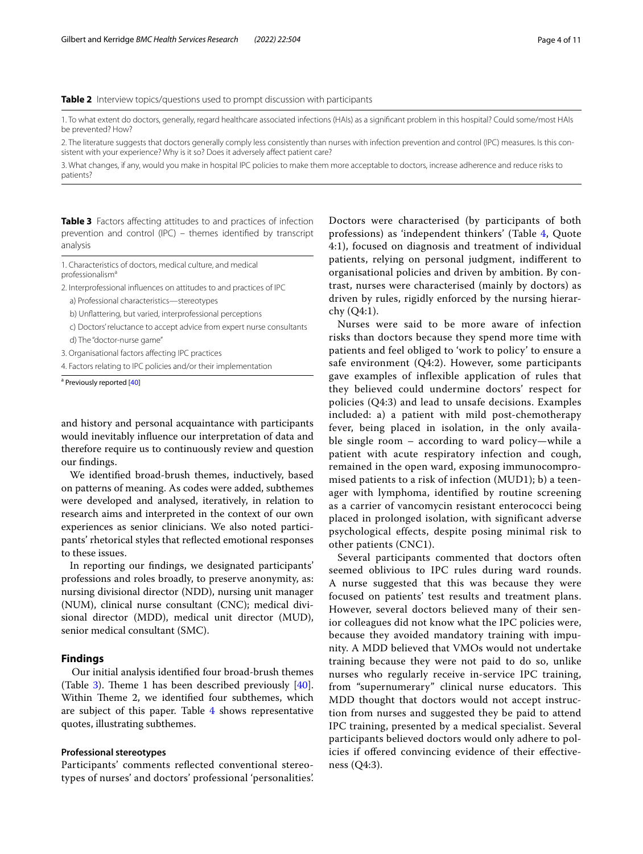## <span id="page-3-0"></span>**Table 2** Interview topics/questions used to prompt discussion with participants

1. To what extent do doctors, generally, regard healthcare associated infections (HAIs) as a signifcant problem in this hospital? Could some/most HAIs be prevented? How?

2. The literature suggests that doctors generally comply less consistently than nurses with infection prevention and control (IPC) measures. Is this consistent with your experience? Why is it so? Does it adversely afect patient care?

3. What changes, if any, would you make in hospital IPC policies to make them more acceptable to doctors, increase adherence and reduce risks to patients?

<span id="page-3-1"></span>**Table 3** Factors affecting attitudes to and practices of infection prevention and control (IPC) – themes identifed by transcript analysis

1. Characteristics of doctors, medical culture, and medical professionalisma

2. Interprofessional infuences on attitudes to and practices of IPC

a) Professional characteristics—stereotypes

b) Unfattering, but varied, interprofessional perceptions

c) Doctors' reluctance to accept advice from expert nurse consultants d) The "doctor-nurse game"

3. Organisational factors afecting IPC practices

4. Factors relating to IPC policies and/or their implementation

<sup>a</sup> Previously reported [[40](#page-9-25)]

and history and personal acquaintance with participants would inevitably infuence our interpretation of data and therefore require us to continuously review and question our fndings.

We identifed broad-brush themes, inductively, based on patterns of meaning. As codes were added, subthemes were developed and analysed, iteratively, in relation to research aims and interpreted in the context of our own experiences as senior clinicians. We also noted participants' rhetorical styles that refected emotional responses to these issues.

In reporting our fndings, we designated participants' professions and roles broadly, to preserve anonymity, as: nursing divisional director (NDD), nursing unit manager (NUM), clinical nurse consultant (CNC); medical divisional director (MDD), medical unit director (MUD), senior medical consultant (SMC).

#### **Findings**

Our initial analysis identifed four broad-brush themes (Table [3](#page-3-1)). Theme 1 has been described previously  $[40]$  $[40]$ . Within Theme 2, we identified four subthemes, which are subject of this paper. Table [4](#page-4-0) shows representative quotes, illustrating subthemes.

## **Professional stereotypes**

Participants' comments reflected conventional stereotypes of nurses' and doctors' professional 'personalities'.

Doctors were characterised (by participants of both professions) as 'independent thinkers' (Table [4](#page-4-0), Quote 4:1), focused on diagnosis and treatment of individual patients, relying on personal judgment, indiferent to organisational policies and driven by ambition. By contrast, nurses were characterised (mainly by doctors) as driven by rules, rigidly enforced by the nursing hierarchy (Q4:1).

Nurses were said to be more aware of infection risks than doctors because they spend more time with patients and feel obliged to 'work to policy' to ensure a safe environment (Q4:2). However, some participants gave examples of inflexible application of rules that they believed could undermine doctors' respect for policies (Q4:3) and lead to unsafe decisions. Examples included: a) a patient with mild post-chemotherapy fever, being placed in isolation, in the only available single room – according to ward policy—while a patient with acute respiratory infection and cough, remained in the open ward, exposing immunocompromised patients to a risk of infection (MUD1); b) a teenager with lymphoma, identified by routine screening as a carrier of vancomycin resistant enterococci being placed in prolonged isolation, with significant adverse psychological effects, despite posing minimal risk to other patients (CNC1).

Several participants commented that doctors often seemed oblivious to IPC rules during ward rounds. A nurse suggested that this was because they were focused on patients' test results and treatment plans. However, several doctors believed many of their senior colleagues did not know what the IPC policies were, because they avoided mandatory training with impunity. A MDD believed that VMOs would not undertake training because they were not paid to do so, unlike nurses who regularly receive in-service IPC training, from "supernumerary" clinical nurse educators. This MDD thought that doctors would not accept instruction from nurses and suggested they be paid to attend IPC training, presented by a medical specialist. Several participants believed doctors would only adhere to policies if offered convincing evidence of their effectiveness (Q4:3).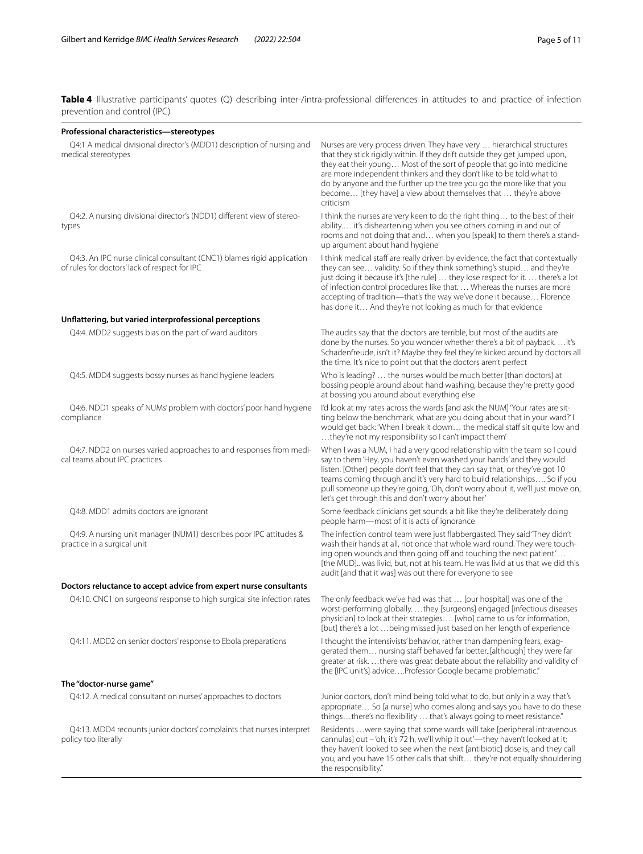<span id="page-4-0"></span>**Table 4** Illustrative participants' quotes (Q) describing inter-/intra-professional differences in attitudes to and practice of infection prevention and control (IPC)

| Professional characteristics-stereotypes                                                                                |                                                                                                                                                                                                                                                                                                                                                                                                                                                                  |  |
|-------------------------------------------------------------------------------------------------------------------------|------------------------------------------------------------------------------------------------------------------------------------------------------------------------------------------------------------------------------------------------------------------------------------------------------------------------------------------------------------------------------------------------------------------------------------------------------------------|--|
| Q4:1 A medical divisional director's (MDD1) description of nursing and<br>medical stereotypes                           | Nurses are very process driven. They have very  hierarchical structures<br>that they stick rigidly within. If they drift outside they get jumped upon,<br>they eat their young Most of the sort of people that go into medicine<br>are more independent thinkers and they don't like to be told what to<br>do by anyone and the further up the tree you go the more like that you<br>become [they have] a view about themselves that  they're above<br>criticism |  |
| Q4:2. A nursing divisional director's (NDD1) different view of stereo-<br>types                                         | I think the nurses are very keen to do the right thing to the best of their<br>ability it's disheartening when you see others coming in and out of<br>rooms and not doing that and when you [speak] to them there's a stand-<br>up argument about hand hygiene                                                                                                                                                                                                   |  |
| Q4:3. An IPC nurse clinical consultant (CNC1) blames rigid application<br>of rules for doctors' lack of respect for IPC | I think medical staff are really driven by evidence, the fact that contextually<br>they can see validity. So if they think something's stupid and they're<br>just doing it because it's [the rule]  they lose respect for it.  there's a lot<br>of infection control procedures like that Whereas the nurses are more<br>accepting of tradition-that's the way we've done it because Florence<br>has done it And they're not looking as much for that evidence   |  |
| Unflattering, but varied interprofessional perceptions                                                                  |                                                                                                                                                                                                                                                                                                                                                                                                                                                                  |  |
| Q4:4. MDD2 suggests bias on the part of ward auditors                                                                   | The audits say that the doctors are terrible, but most of the audits are<br>done by the nurses. So you wonder whether there's a bit of paybackit's<br>Schadenfreude, isn't it? Maybe they feel they're kicked around by doctors all<br>the time. It's nice to point out that the doctors aren't perfect                                                                                                                                                          |  |
| Q4:5. MDD4 suggests bossy nurses as hand hygiene leaders                                                                | Who is leading?  the nurses would be much better [than doctors] at<br>bossing people around about hand washing, because they're pretty good<br>at bossing you around about everything else                                                                                                                                                                                                                                                                       |  |
| Q4:6. NDD1 speaks of NUMs' problem with doctors' poor hand hygiene<br>compliance                                        | I'd look at my rates across the wards [and ask the NUM] 'Your rates are sit-<br>ting below the benchmark, what are you doing about that in your ward?'I<br>would get back: 'When I break it down the medical staff sit quite low and<br>they're not my responsibility so I can't impact them'                                                                                                                                                                    |  |
| Q4:7. NDD2 on nurses varied approaches to and responses from medi-<br>cal teams about IPC practices                     | When I was a NUM, I had a very good relationship with the team so I could<br>say to them 'Hey, you haven't even washed your hands' and they would<br>listen. [Other] people don't feel that they can say that, or they've got 10<br>teams coming through and it's very hard to build relationships So if you<br>pull someone up they're going, 'Oh, don't worry about it, we'll just move on,<br>let's get through this and don't worry about her'               |  |
| Q4:8. MDD1 admits doctors are ignorant                                                                                  | Some feedback clinicians get sounds a bit like they're deliberately doing<br>people harm—most of it is acts of ignorance                                                                                                                                                                                                                                                                                                                                         |  |
| Q4:9. A nursing unit manager (NUM1) describes poor IPC attitudes &<br>practice in a surgical unit                       | The infection control team were just flabbergasted. They said 'They didn't<br>wash their hands at all, not once that whole ward round. They were touch-<br>ing open wounds and then going off and touching the next patient<br>[the MUD] was livid, but, not at his team. He was livid at us that we did this<br>audit [and that it was] was out there for everyone to see                                                                                       |  |
| Doctors reluctance to accept advice from expert nurse consultants                                                       |                                                                                                                                                                                                                                                                                                                                                                                                                                                                  |  |
| Q4:10. CNC1 on surgeons' response to high surgical site infection rates                                                 | The only feedback we've had was that  [our hospital] was one of the<br>worst-performing globally. they [surgeons] engaged [infectious diseases<br>physician] to look at their strategies [who] came to us for information,<br>[but] there's a lot  being missed just based on her length of experience                                                                                                                                                           |  |
| Q4:11. MDD2 on senior doctors' response to Ebola preparations                                                           | I thought the intensivists' behavior, rather than dampening fears, exag-<br>gerated them nursing staff behaved far better[although] they were far<br>greater at risk.  there was great debate about the reliability and validity of<br>the [IPC unit's] adviceProfessor Google became problematic."                                                                                                                                                              |  |
| The "doctor-nurse game"                                                                                                 |                                                                                                                                                                                                                                                                                                                                                                                                                                                                  |  |
| Q4:12. A medical consultant on nurses' approaches to doctors                                                            | Junior doctors, don't mind being told what to do, but only in a way that's<br>appropriate So [a nurse] who comes along and says you have to do these<br>thingsthere's no flexibility  that's always going to meet resistance."                                                                                                                                                                                                                                   |  |
| Q4:13. MDD4 recounts junior doctors' complaints that nurses interpret<br>policy too literally                           | Residents  were saying that some wards will take [peripheral intravenous<br>cannulas] out -'oh, it's 72 h, we'll whip it out'-they haven't looked at it;<br>they haven't looked to see when the next [antibiotic] dose is, and they call<br>you, and you have 15 other calls that shift they're not equally shouldering<br>the responsibility."                                                                                                                  |  |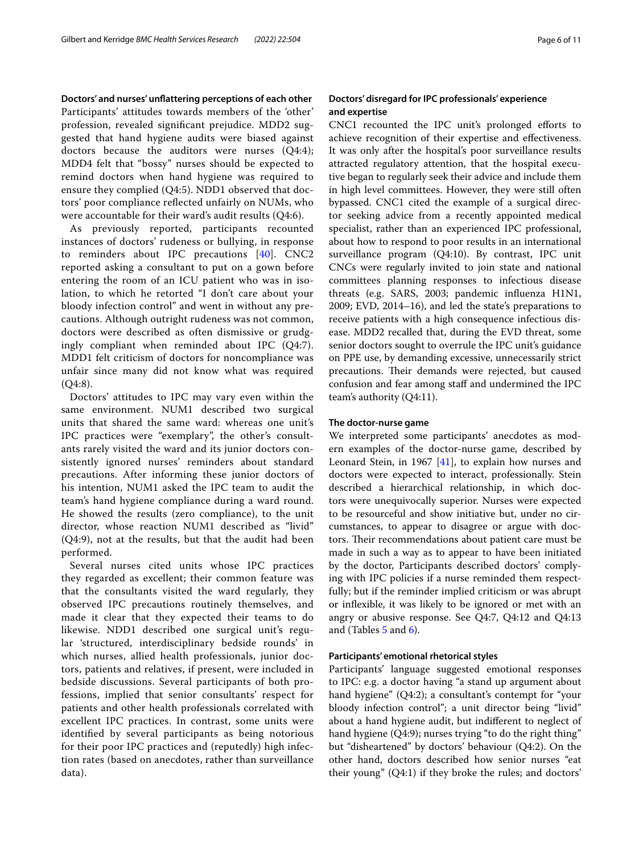**Doctors' and nurses' unfattering perceptions of each other** Participants' attitudes towards members of the 'other' profession, revealed signifcant prejudice. MDD2 suggested that hand hygiene audits were biased against doctors because the auditors were nurses (Q4:4); MDD4 felt that "bossy" nurses should be expected to remind doctors when hand hygiene was required to ensure they complied (Q4:5). NDD1 observed that doctors' poor compliance refected unfairly on NUMs, who were accountable for their ward's audit results (Q4:6).

As previously reported, participants recounted instances of doctors' rudeness or bullying, in response to reminders about IPC precautions [\[40](#page-9-25)]. CNC2 reported asking a consultant to put on a gown before entering the room of an ICU patient who was in isolation, to which he retorted "I don't care about your bloody infection control" and went in without any precautions. Although outright rudeness was not common, doctors were described as often dismissive or grudgingly compliant when reminded about IPC (Q4:7). MDD1 felt criticism of doctors for noncompliance was unfair since many did not know what was required  $(Q4:8)$ .

Doctors' attitudes to IPC may vary even within the same environment. NUM1 described two surgical units that shared the same ward: whereas one unit's IPC practices were "exemplary", the other's consultants rarely visited the ward and its junior doctors consistently ignored nurses' reminders about standard precautions. After informing these junior doctors of his intention, NUM1 asked the IPC team to audit the team's hand hygiene compliance during a ward round. He showed the results (zero compliance), to the unit director, whose reaction NUM1 described as "livid" (Q4:9), not at the results, but that the audit had been performed.

Several nurses cited units whose IPC practices they regarded as excellent; their common feature was that the consultants visited the ward regularly, they observed IPC precautions routinely themselves, and made it clear that they expected their teams to do likewise. NDD1 described one surgical unit's regular 'structured, interdisciplinary bedside rounds' in which nurses, allied health professionals, junior doctors, patients and relatives, if present, were included in bedside discussions. Several participants of both professions, implied that senior consultants' respect for patients and other health professionals correlated with excellent IPC practices. In contrast, some units were identifed by several participants as being notorious for their poor IPC practices and (reputedly) high infection rates (based on anecdotes, rather than surveillance data).

## **and expertise** CNC1 recounted the IPC unit's prolonged efforts to

achieve recognition of their expertise and efectiveness. It was only after the hospital's poor surveillance results attracted regulatory attention, that the hospital executive began to regularly seek their advice and include them in high level committees. However, they were still often bypassed. CNC1 cited the example of a surgical director seeking advice from a recently appointed medical specialist, rather than an experienced IPC professional, about how to respond to poor results in an international surveillance program (Q4:10). By contrast, IPC unit CNCs were regularly invited to join state and national committees planning responses to infectious disease threats (e.g. SARS, 2003; pandemic infuenza H1N1, 2009; EVD, 2014–16), and led the state's preparations to receive patients with a high consequence infectious disease. MDD2 recalled that, during the EVD threat, some senior doctors sought to overrule the IPC unit's guidance on PPE use, by demanding excessive, unnecessarily strict precautions. Their demands were rejected, but caused confusion and fear among staff and undermined the IPC team's authority (Q4:11).

#### **The doctor-nurse game**

We interpreted some participants' anecdotes as modern examples of the doctor-nurse game, described by Leonard Stein, in 1967 [[41](#page-9-26)], to explain how nurses and doctors were expected to interact, professionally. Stein described a hierarchical relationship, in which doctors were unequivocally superior. Nurses were expected to be resourceful and show initiative but, under no circumstances, to appear to disagree or argue with doctors. Their recommendations about patient care must be made in such a way as to appear to have been initiated by the doctor, Participants described doctors' complying with IPC policies if a nurse reminded them respectfully; but if the reminder implied criticism or was abrupt or infexible, it was likely to be ignored or met with an angry or abusive response. See Q4:7, Q4:12 and Q4:13 and (Tables [5](#page-6-0) and [6\)](#page-6-1).

#### **Participants' emotional rhetorical styles**

Participants' language suggested emotional responses to IPC: e.g. a doctor having "a stand up argument about hand hygiene" (Q4:2); a consultant's contempt for "your bloody infection control"; a unit director being "livid" about a hand hygiene audit, but indiferent to neglect of hand hygiene (Q4:9); nurses trying "to do the right thing" but "disheartened" by doctors' behaviour (Q4:2). On the other hand, doctors described how senior nurses "eat their young" (Q4:1) if they broke the rules; and doctors'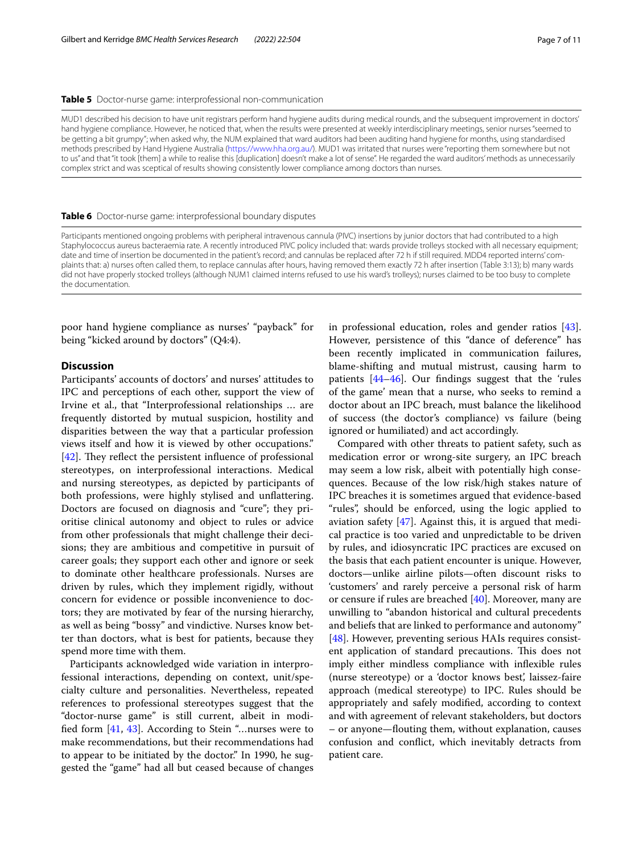#### <span id="page-6-0"></span>**Table 5** Doctor-nurse game: interprofessional non-communication

MUD1 described his decision to have unit registrars perform hand hygiene audits during medical rounds, and the subsequent improvement in doctors' hand hygiene compliance. However, he noticed that, when the results were presented at weekly interdisciplinary meetings, senior nurses "seemed to be getting a bit grumpy"; when asked why, the NUM explained that ward auditors had been auditing hand hygiene for months, using standardised methods prescribed by Hand Hygiene Australia [\(https://www.hha.org.au/\)](https://www.hha.org.au/). MUD1 was irritated that nurses were "reporting them somewhere but not to us" and that "it took [them] a while to realise this [duplication] doesn't make a lot of sense". He regarded the ward auditors' methods as unnecessarily complex strict and was sceptical of results showing consistently lower compliance among doctors than nurses.

#### <span id="page-6-1"></span>**Table 6** Doctor-nurse game: interprofessional boundary disputes

Participants mentioned ongoing problems with peripheral intravenous cannula (PIVC) insertions by junior doctors that had contributed to a high Staphylococcus aureus bacteraemia rate. A recently introduced PIVC policy included that: wards provide trolleys stocked with all necessary equipment; date and time of insertion be documented in the patient's record; and cannulas be replaced after 72 h if still required. MDD4 reported interns' complaints that: a) nurses often called them, to replace cannulas after hours, having removed them exactly 72 h after insertion (Table 3:13); b) many wards did not have properly stocked trolleys (although NUM1 claimed interns refused to use his ward's trolleys); nurses claimed to be too busy to complete the documentation.

poor hand hygiene compliance as nurses' "payback" for being "kicked around by doctors" (Q4:4).

## **Discussion**

Participants' accounts of doctors' and nurses' attitudes to IPC and perceptions of each other, support the view of Irvine et al., that "Interprofessional relationships … are frequently distorted by mutual suspicion, hostility and disparities between the way that a particular profession views itself and how it is viewed by other occupations." [ $42$ ]. They reflect the persistent influence of professional stereotypes, on interprofessional interactions. Medical and nursing stereotypes, as depicted by participants of both professions, were highly stylised and unfattering. Doctors are focused on diagnosis and "cure"; they prioritise clinical autonomy and object to rules or advice from other professionals that might challenge their decisions; they are ambitious and competitive in pursuit of career goals; they support each other and ignore or seek to dominate other healthcare professionals. Nurses are driven by rules, which they implement rigidly, without concern for evidence or possible inconvenience to doctors; they are motivated by fear of the nursing hierarchy, as well as being "bossy" and vindictive. Nurses know better than doctors, what is best for patients, because they spend more time with them.

Participants acknowledged wide variation in interprofessional interactions, depending on context, unit/specialty culture and personalities. Nevertheless, repeated references to professional stereotypes suggest that the "doctor-nurse game" is still current, albeit in modifed form [\[41,](#page-9-26) [43](#page-9-28)]. According to Stein "…nurses were to make recommendations, but their recommendations had to appear to be initiated by the doctor." In 1990, he suggested the "game" had all but ceased because of changes in professional education, roles and gender ratios [\[43](#page-9-28)]. However, persistence of this "dance of deference" has been recently implicated in communication failures, blame-shifting and mutual mistrust, causing harm to patients [[44](#page-9-29)[–46](#page-9-30)]. Our fndings suggest that the 'rules of the game' mean that a nurse, who seeks to remind a doctor about an IPC breach, must balance the likelihood of success (the doctor's compliance) vs failure (being ignored or humiliated) and act accordingly.

Compared with other threats to patient safety, such as medication error or wrong-site surgery, an IPC breach may seem a low risk, albeit with potentially high consequences. Because of the low risk/high stakes nature of IPC breaches it is sometimes argued that evidence-based "rules", should be enforced, using the logic applied to aviation safety [\[47](#page-9-31)]. Against this, it is argued that medical practice is too varied and unpredictable to be driven by rules, and idiosyncratic IPC practices are excused on the basis that each patient encounter is unique. However, doctors—unlike airline pilots—often discount risks to 'customers' and rarely perceive a personal risk of harm or censure if rules are breached [[40\]](#page-9-25). Moreover, many are unwilling to "abandon historical and cultural precedents and beliefs that are linked to performance and autonomy" [[48\]](#page-9-32). However, preventing serious HAIs requires consistent application of standard precautions. This does not imply either mindless compliance with infexible rules (nurse stereotype) or a 'doctor knows best', laissez-faire approach (medical stereotype) to IPC. Rules should be appropriately and safely modifed, according to context and with agreement of relevant stakeholders, but doctors – or anyone—fouting them, without explanation, causes confusion and confict, which inevitably detracts from patient care.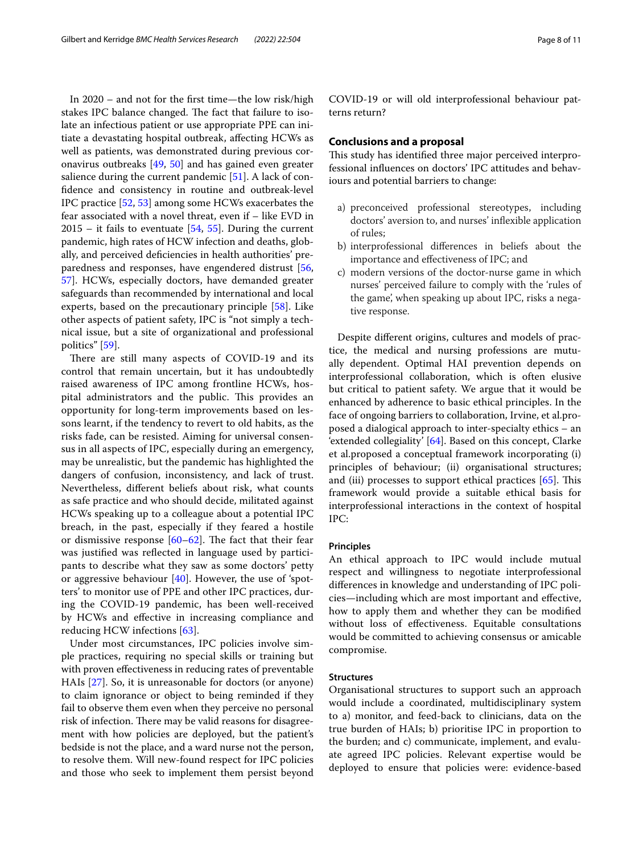In 2020 – and not for the frst time—the low risk/high stakes IPC balance changed. The fact that failure to isolate an infectious patient or use appropriate PPE can initiate a devastating hospital outbreak, afecting HCWs as well as patients, was demonstrated during previous coronavirus outbreaks [[49,](#page-9-33) [50](#page-9-34)] and has gained even greater salience during the current pandemic [\[51](#page-9-35)]. A lack of confdence and consistency in routine and outbreak-level IPC practice [\[52](#page-9-36), [53](#page-9-37)] among some HCWs exacerbates the fear associated with a novel threat, even if – like EVD in  $2015 -$  it fails to eventuate [[54](#page-9-38), [55\]](#page-9-39). During the current pandemic, high rates of HCW infection and deaths, globally, and perceived defciencies in health authorities' preparedness and responses, have engendered distrust [\[56](#page-9-40), [57\]](#page-9-41). HCWs, especially doctors, have demanded greater safeguards than recommended by international and local experts, based on the precautionary principle [\[58](#page-9-42)]. Like other aspects of patient safety, IPC is "not simply a technical issue, but a site of organizational and professional politics" [[59\]](#page-10-0).

There are still many aspects of COVID-19 and its control that remain uncertain, but it has undoubtedly raised awareness of IPC among frontline HCWs, hospital administrators and the public. This provides an opportunity for long-term improvements based on lessons learnt, if the tendency to revert to old habits, as the risks fade, can be resisted. Aiming for universal consensus in all aspects of IPC, especially during an emergency, may be unrealistic, but the pandemic has highlighted the dangers of confusion, inconsistency, and lack of trust. Nevertheless, diferent beliefs about risk, what counts as safe practice and who should decide, militated against HCWs speaking up to a colleague about a potential IPC breach, in the past, especially if they feared a hostile or dismissive response  $[60-62]$  $[60-62]$ . The fact that their fear was justifed was refected in language used by participants to describe what they saw as some doctors' petty or aggressive behaviour [[40\]](#page-9-25). However, the use of 'spotters' to monitor use of PPE and other IPC practices, during the COVID-19 pandemic, has been well-received by HCWs and efective in increasing compliance and reducing HCW infections [\[63](#page-10-3)].

Under most circumstances, IPC policies involve simple practices, requiring no special skills or training but with proven efectiveness in reducing rates of preventable HAIs [[27\]](#page-9-15). So, it is unreasonable for doctors (or anyone) to claim ignorance or object to being reminded if they fail to observe them even when they perceive no personal risk of infection. There may be valid reasons for disagreement with how policies are deployed, but the patient's bedside is not the place, and a ward nurse not the person, to resolve them. Will new-found respect for IPC policies and those who seek to implement them persist beyond

COVID-19 or will old interprofessional behaviour patterns return?

## **Conclusions and a proposal**

This study has identified three major perceived interprofessional infuences on doctors' IPC attitudes and behaviours and potential barriers to change:

- a) preconceived professional stereotypes, including doctors' aversion to, and nurses' infexible application of rules;
- b) interprofessional diferences in beliefs about the importance and efectiveness of IPC; and
- c) modern versions of the doctor-nurse game in which nurses' perceived failure to comply with the 'rules of the game', when speaking up about IPC, risks a negative response.

Despite diferent origins, cultures and models of practice, the medical and nursing professions are mutually dependent. Optimal HAI prevention depends on interprofessional collaboration, which is often elusive but critical to patient safety. We argue that it would be enhanced by adherence to basic ethical principles. In the face of ongoing barriers to collaboration, Irvine, et al.proposed a dialogical approach to inter-specialty ethics – an 'extended collegiality' [\[64](#page-10-4)]. Based on this concept, Clarke et al.proposed a conceptual framework incorporating (i) principles of behaviour; (ii) organisational structures; and (iii) processes to support ethical practices  $[65]$  $[65]$ . This framework would provide a suitable ethical basis for interprofessional interactions in the context of hospital IPC:

## **Principles**

An ethical approach to IPC would include mutual respect and willingness to negotiate interprofessional diferences in knowledge and understanding of IPC policies—including which are most important and efective, how to apply them and whether they can be modifed without loss of efectiveness. Equitable consultations would be committed to achieving consensus or amicable compromise.

## **Structures**

Organisational structures to support such an approach would include a coordinated, multidisciplinary system to a) monitor, and feed-back to clinicians, data on the true burden of HAIs; b) prioritise IPC in proportion to the burden; and c) communicate, implement, and evaluate agreed IPC policies. Relevant expertise would be deployed to ensure that policies were: evidence-based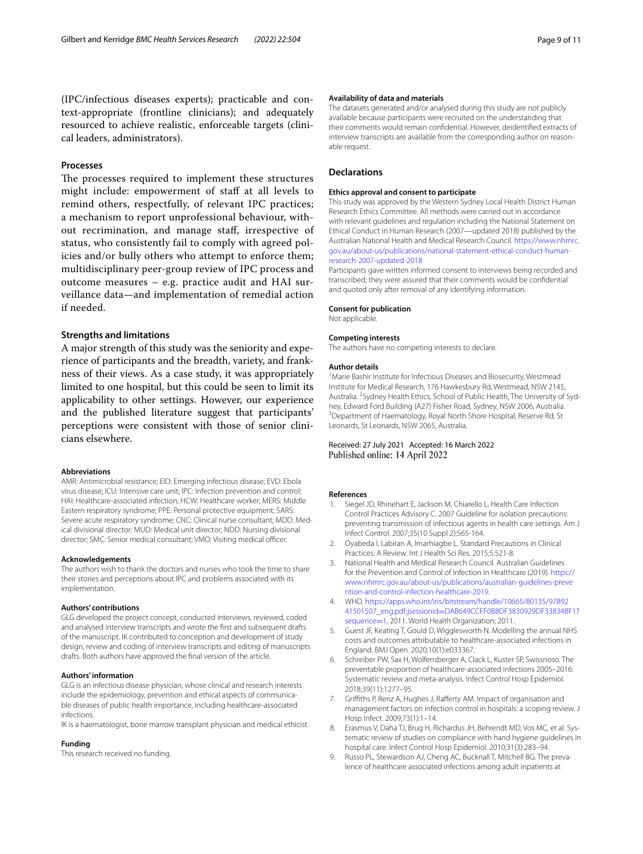(IPC/infectious diseases experts); practicable and context-appropriate (frontline clinicians); and adequately resourced to achieve realistic, enforceable targets (clinical leaders, administrators).

#### **Processes**

The processes required to implement these structures might include: empowerment of staff at all levels to remind others, respectfully, of relevant IPC practices; a mechanism to report unprofessional behaviour, without recrimination, and manage staf, irrespective of status, who consistently fail to comply with agreed policies and/or bully others who attempt to enforce them; multidisciplinary peer-group review of IPC process and outcome measures – e.g. practice audit and HAI surveillance data—and implementation of remedial action if needed.

## **Strengths and limitations**

A major strength of this study was the seniority and experience of participants and the breadth, variety, and frankness of their views. As a case study, it was appropriately limited to one hospital, but this could be seen to limit its applicability to other settings. However, our experience and the published literature suggest that participants' perceptions were consistent with those of senior clinicians elsewhere.

#### **Abbreviations**

AMR: Antimicrobial resistance; EID: Emerging infectious disease; EVD: Ebola virus disease; ICU: Intensive care unit; IPC: Infection prevention and control; HAI: Healthcare-associated infection; HCW: Healthcare worker; MERS: Middle Eastern respiratory syndrome; PPE: Personal protective equipment; SARS: Severe acute respiratory syndrome; CNC: Clinical nurse consultant; MDD: Medical divisional director; MUD: Medical unit director; NDD: Nursing divisional director; SMC: Senior medical consultant; VMO: Visiting medical officer.

#### **Acknowledgements**

The authors wish to thank the doctors and nurses who took the time to share their stories and perceptions about IPC and problems associated with its implementation.

#### **Authors' contributions**

GLG developed the project concept, conducted interviews, reviewed, coded and analysed interview transcripts and wrote the frst and subsequent drafts of the manuscript. IK contributed to conception and development of study design, review and coding of interview transcripts and editing of manuscripts drafts. Both authors have approved the fnal version of the article.

#### **Authors' information**

GLG is an infectious disease physician, whose clinical and research interests include the epidemiology, prevention and ethical aspects of communicable diseases of public health importance, including healthcare-associated infections.

IK is a haematologist, bone marrow transplant physician and medical ethicist.

#### **Funding**

This research received no funding.

#### **Availability of data and materials**

The datasets generated and/or analysed during this study are not publicly available because participants were recruited on the understanding that their comments would remain confdential. However, deidentifed extracts of interview transcripts are available from the corresponding author on reasonable request.

#### **Declarations**

#### **Ethics approval and consent to participate**

This study was approved by the Western Sydney Local Health District Human Research Ethics Committee. All methods were carried out in accordance with relevant guidelines and regulation including the National Statement on Ethical Conduct in Human Research (2007—updated 2018) published by the Australian National Health and Medical Research Council. [https://www.nhmrc.](https://www.nhmrc.gov.au/about-us/publications/national-statement-ethical-conduct-human-research-2007-updated-2018) [gov.au/about-us/publications/national-statement-ethical-conduct-human](https://www.nhmrc.gov.au/about-us/publications/national-statement-ethical-conduct-human-research-2007-updated-2018)[research-2007-updated-2018](https://www.nhmrc.gov.au/about-us/publications/national-statement-ethical-conduct-human-research-2007-updated-2018)

Participants gave written informed consent to interviews being recorded and transcribed; they were assured that their comments would be confdential and quoted only after removal of any identifying information.

#### **Consent for publication**

Not applicable.

#### **Competing interests**

The authors have no competing interests to declare.

#### **Author details**

<sup>1</sup> Marie Bashir Institute for Infectious Diseases and Biosecurity, Westmead Institute for Medical Research, 176 Hawkesbury Rd, Westmead, NSW 2145, Australia. <sup>2</sup> Sydney Health Ethics, School of Public Health, The University of Sydney, Edward Ford Building (A27) Fisher Road, Sydney, NSW 2006, Australia. <sup>3</sup> Department of Haematology, Royal North Shore Hospital, Reserve Rd, St Leonards, St Leonards, NSW 2065, Australia.

#### Received: 27 July 2021 Accepted: 16 March 2022 Published online: 14 April 2022

#### **References**

- <span id="page-8-0"></span>1. Siegel JD, Rhinehart E, Jackson M, Chiarello L, Health Care Infection Control Practices Advisory C. 2007 Guideline for isolation precautions: preventing transmission of infectious agents in health care settings. Am J Infect Control. 2007;35(10 Suppl 2):S65-164.
- 2. Oyabeda I, Labiran A, Imarhiagbe L. Standard Precautions in Clinical Practices: A Review. Int J Health Sci Res. 2015;5:521-8.
- <span id="page-8-1"></span>3. National Health and Medical Research Council. Australian Guidelines for the Prevention and Control of Infection in Healthcare (2019). [https://](https://www.nhmrc.gov.au/about-us/publications/australian-guidelines-prevention-and-control-infection-healthcare-2019) [www.nhmrc.gov.au/about-us/publications/australian-guidelines-preve](https://www.nhmrc.gov.au/about-us/publications/australian-guidelines-prevention-and-control-infection-healthcare-2019) [ntion-and-control-infection-healthcare-2019.](https://www.nhmrc.gov.au/about-us/publications/australian-guidelines-prevention-and-control-infection-healthcare-2019)
- <span id="page-8-2"></span>4. WHO. [https://apps.who.int/iris/bitstream/handle/10665/80135/97892](https://apps.who.int/iris/bitstream/handle/10665/80135/9789241501507_eng.pdf;jsessionid=DAB649CCFF0B8DF3830929DF338348F1?sequence=1) 41501507\_eng.pdf;jsessionid=[DAB649CCFF0B8DF3830929DF338348F1?](https://apps.who.int/iris/bitstream/handle/10665/80135/9789241501507_eng.pdf;jsessionid=DAB649CCFF0B8DF3830929DF338348F1?sequence=1) [sequence](https://apps.who.int/iris/bitstream/handle/10665/80135/9789241501507_eng.pdf;jsessionid=DAB649CCFF0B8DF3830929DF338348F1?sequence=1)=1, 2011. World Health Organization; 2011.
- <span id="page-8-3"></span>5. Guest JF, Keating T, Gould D, Wigglesworth N. Modelling the annual NHS costs and outcomes attributable to healthcare-associated infections in England. BMJ Open. 2020;10(1):e033367.
- <span id="page-8-4"></span>Schreiber PW, Sax H, Wolfensberger A, Clack L, Kuster SP, Swissnoso. The preventable proportion of healthcare-associated infections 2005–2016: Systematic review and meta-analysis. Infect Control Hosp Epidemiol. 2018;39(11):1277–95.
- <span id="page-8-5"></span>7. Grifths P, Renz A, Hughes J, Raferty AM. Impact of organisation and management factors on infection control in hospitals: a scoping review. J Hosp Infect. 2009;73(1):1–14.
- <span id="page-8-6"></span>Erasmus V, Daha TJ, Brug H, Richardus JH, Behrendt MD, Vos MC, et al. Systematic review of studies on compliance with hand hygiene guidelines in hospital care. Infect Control Hosp Epidemiol. 2010;31(3):283–94.
- <span id="page-8-7"></span>9. Russo PL, Stewardson AJ, Cheng AC, Bucknall T, Mitchell BG. The prevalence of healthcare associated infections among adult inpatients at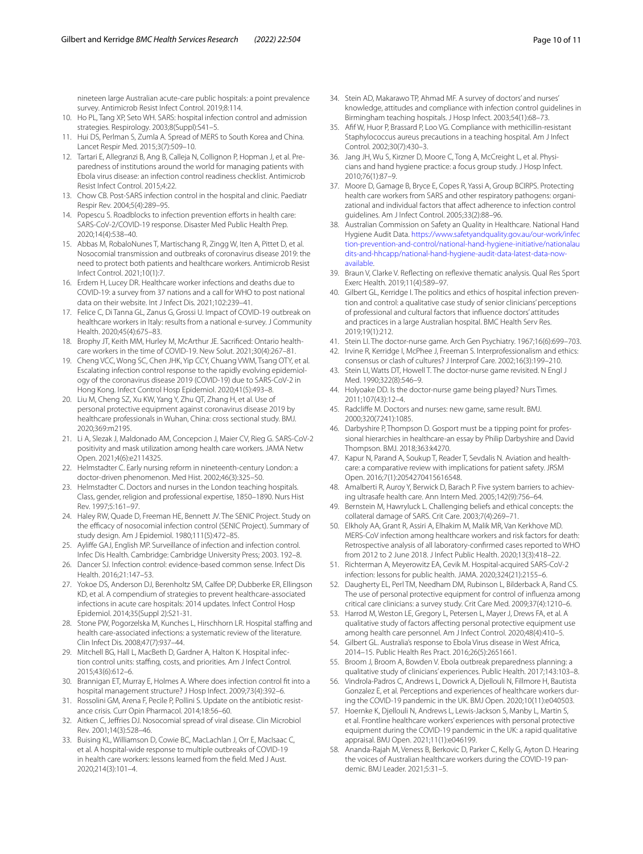nineteen large Australian acute-care public hospitals: a point prevalence survey. Antimicrob Resist Infect Control. 2019;8:114.

- <span id="page-9-0"></span>10. Ho PL, Tang XP, Seto WH. SARS: hospital infection control and admission strategies. Respirology. 2003;8(Suppl):S41–5.
- 11. Hui DS, Perlman S, Zumla A. Spread of MERS to South Korea and China. Lancet Respir Med. 2015;3(7):509–10.
- <span id="page-9-1"></span>12. Tartari E, Allegranzi B, Ang B, Calleja N, Collignon P, Hopman J, et al. Preparedness of institutions around the world for managing patients with Ebola virus disease: an infection control readiness checklist. Antimicrob Resist Infect Control. 2015;4:22.
- <span id="page-9-2"></span>13. Chow CB. Post-SARS infection control in the hospital and clinic. Paediatr Respir Rev. 2004;5(4):289–95.
- <span id="page-9-3"></span>14. Popescu S. Roadblocks to infection prevention efforts in health care: SARS-CoV-2/COVID-19 response. Disaster Med Public Health Prep. 2020;14(4):538–40.
- <span id="page-9-4"></span>15. Abbas M, RobaloNunes T, Martischang R, Zingg W, Iten A, Pittet D, et al. Nosocomial transmission and outbreaks of coronavirus disease 2019: the need to protect both patients and healthcare workers. Antimicrob Resist Infect Control. 2021;10(1):7.
- <span id="page-9-5"></span>16. Erdem H, Lucey DR. Healthcare worker infections and deaths due to COVID-19: a survey from 37 nations and a call for WHO to post national data on their website. Int J Infect Dis. 2021;102:239–41.
- <span id="page-9-6"></span>17. Felice C, Di Tanna GL, Zanus G, Grossi U. Impact of COVID-19 outbreak on healthcare workers in Italy: results from a national e-survey. J Community Health. 2020;45(4):675–83.
- <span id="page-9-7"></span>18. Brophy JT, Keith MM, Hurley M, McArthur JE. Sacrifced: Ontario healthcare workers in the time of COVID-19. New Solut. 2021;30(4):267–81.
- <span id="page-9-8"></span>19. Cheng VCC, Wong SC, Chen JHK, Yip CCY, Chuang VWM, Tsang OTY, et al. Escalating infection control response to the rapidly evolving epidemiology of the coronavirus disease 2019 (COVID-19) due to SARS-CoV-2 in Hong Kong. Infect Control Hosp Epidemiol. 2020;41(5):493–8.
- 20. Liu M, Cheng SZ, Xu KW, Yang Y, Zhu QT, Zhang H, et al. Use of personal protective equipment against coronavirus disease 2019 by healthcare professionals in Wuhan, China: cross sectional study. BMJ. 2020;369:m2195.
- <span id="page-9-9"></span>21. Li A, Slezak J, Maldonado AM, Concepcion J, Maier CV, Rieg G. SARS-CoV-2 positivity and mask utilization among health care workers. JAMA Netw Open. 2021;4(6):e2114325.
- <span id="page-9-10"></span>22. Helmstadter C. Early nursing reform in nineteenth-century London: a doctor-driven phenomenon. Med Hist. 2002;46(3):325–50.
- <span id="page-9-11"></span>23. Helmstadter C. Doctors and nurses in the London teaching hospitals. Class, gender, religion and professional expertise, 1850–1890. Nurs Hist Rev. 1997;5:161–97.
- <span id="page-9-12"></span>24. Haley RW, Quade D, Freeman HE, Bennett JV. The SENIC Project. Study on the efficacy of nosocomial infection control (SENIC Project). Summary of study design. Am J Epidemiol. 1980;111(5):472–85.
- <span id="page-9-13"></span>25. Aylife GAJ, English MP. Surveillance of infection and infection control. Infec Dis Health. Cambridge: Cambridge University Press; 2003. 192–8.
- <span id="page-9-14"></span>26. Dancer SJ. Infection control: evidence-based common sense. Infect Dis Health. 2016;21:147–53.
- <span id="page-9-15"></span>27. Yokoe DS, Anderson DJ, Berenholtz SM, Calfee DP, Dubberke ER, Ellingson KD, et al. A compendium of strategies to prevent healthcare-associated infections in acute care hospitals: 2014 updates. Infect Control Hosp Epidemiol. 2014;35(Suppl 2):S21-31.
- <span id="page-9-16"></span>28. Stone PW, Pogorzelska M, Kunches L, Hirschhorn LR. Hospital staffing and health care-associated infections: a systematic review of the literature. Clin Infect Dis. 2008;47(7):937–44.
- 29. Mitchell BG, Hall L, MacBeth D, Gardner A, Halton K. Hospital infection control units: staffing, costs, and priorities. Am J Infect Control. 2015;43(6):612–6.
- <span id="page-9-17"></span>30. Brannigan ET, Murray E, Holmes A. Where does infection control ft into a hospital management structure? J Hosp Infect. 2009;73(4):392–6.
- <span id="page-9-18"></span>31. Rossolini GM, Arena F, Pecile P, Pollini S. Update on the antibiotic resistance crisis. Curr Opin Pharmacol. 2014;18:56–60.
- <span id="page-9-19"></span>32. Aitken C, Jefries DJ. Nosocomial spread of viral disease. Clin Microbiol Rev. 2001;14(3):528–46.
- <span id="page-9-20"></span>33. Buising KL, Williamson D, Cowie BC, MacLachlan J, Orr E, MacIsaac C, et al. A hospital-wide response to multiple outbreaks of COVID-19 in health care workers: lessons learned from the feld. Med J Aust. 2020;214(3):101–4.
- <span id="page-9-21"></span>34. Stein AD, Makarawo TP, Ahmad MF. A survey of doctors' and nurses' knowledge, attitudes and compliance with infection control guidelines in Birmingham teaching hospitals. J Hosp Infect. 2003;54(1):68–73.
- 35. Aff W, Huor P, Brassard P, Loo VG. Compliance with methicillin-resistant Staphylococcus aureus precautions in a teaching hospital. Am J Infect Control. 2002;30(7):430–3.
- 36. Jang JH, Wu S, Kirzner D, Moore C, Tong A, McCreight L, et al. Physicians and hand hygiene practice: a focus group study. J Hosp Infect. 2010;76(1):87–9.
- <span id="page-9-22"></span>37. Moore D, Gamage B, Bryce E, Copes R, Yassi A, Group BCIRPS. Protecting health care workers from SARS and other respiratory pathogens: organizational and individual factors that afect adherence to infection control guidelines. Am J Infect Control. 2005;33(2):88–96.
- <span id="page-9-23"></span>38. Australian Commission on Safety an Quality in Healthcare. National Hand Hygiene Audit Data. [https://www.safetyandquality.gov.au/our-work/infec](https://www.safetyandquality.gov.au/our-work/infection-prevention-and-control/national-hand-hygiene-initiative/nationalaudits-and-hhcapp/national-hand-hygiene-audit-data-latest-data-now-available) [tion-prevention-and-control/national-hand-hygiene-initiative/nationalau](https://www.safetyandquality.gov.au/our-work/infection-prevention-and-control/national-hand-hygiene-initiative/nationalaudits-and-hhcapp/national-hand-hygiene-audit-data-latest-data-now-available) [dits-and-hhcapp/national-hand-hygiene-audit-data-latest-data-now](https://www.safetyandquality.gov.au/our-work/infection-prevention-and-control/national-hand-hygiene-initiative/nationalaudits-and-hhcapp/national-hand-hygiene-audit-data-latest-data-now-available)[available.](https://www.safetyandquality.gov.au/our-work/infection-prevention-and-control/national-hand-hygiene-initiative/nationalaudits-and-hhcapp/national-hand-hygiene-audit-data-latest-data-now-available)
- <span id="page-9-24"></span>39. Braun V, Clarke V. Refecting on refexive thematic analysis. Qual Res Sport Exerc Health. 2019;11(4):589–97.
- <span id="page-9-25"></span>40. Gilbert GL, Kerridge I. The politics and ethics of hospital infection prevention and control: a qualitative case study of senior clinicians' perceptions of professional and cultural factors that infuence doctors' attitudes and practices in a large Australian hospital. BMC Health Serv Res. 2019;19(1):212.
- <span id="page-9-26"></span>41. Stein LI. The doctor-nurse game. Arch Gen Psychiatry. 1967;16(6):699–703.
- <span id="page-9-27"></span>42. Irvine R, Kerridge I, McPhee J, Freeman S. Interprofessionalism and ethics: consensus or clash of cultures? J Interprof Care. 2002;16(3):199–210. 43. Stein LI, Watts DT, Howell T. The doctor-nurse game revisited. N Engl J
- <span id="page-9-28"></span>Med. 1990;322(8):546–9.
- <span id="page-9-29"></span>44. Holyoake DD. Is the doctor-nurse game being played? Nurs Times. 2011;107(43):12–4.
- 45. Radclife M. Doctors and nurses: new game, same result. BMJ. 2000;320(7241):1085.
- <span id="page-9-30"></span>46. Darbyshire P, Thompson D. Gosport must be a tipping point for professional hierarchies in healthcare-an essay by Philip Darbyshire and David Thompson. BMJ. 2018;363:k4270.
- <span id="page-9-31"></span>47. Kapur N, Parand A, Soukup T, Reader T, Sevdalis N. Aviation and healthcare: a comparative review with implications for patient safety. JRSM Open. 2016;7(1):2054270415616548.
- <span id="page-9-32"></span>48. Amalberti R, Auroy Y, Berwick D, Barach P. Five system barriers to achieving ultrasafe health care. Ann Intern Med. 2005;142(9):756–64.
- <span id="page-9-33"></span>49. Bernstein M, Hawryluck L. Challenging beliefs and ethical concepts: the collateral damage of SARS. Crit Care. 2003;7(4):269–71.
- <span id="page-9-34"></span>50. Elkholy AA, Grant R, Assiri A, Elhakim M, Malik MR, Van Kerkhove MD. MERS-CoV infection among healthcare workers and risk factors for death: Retrospective analysis of all laboratory-confrmed cases reported to WHO from 2012 to 2 June 2018. J Infect Public Health. 2020;13(3):418–22.
- <span id="page-9-35"></span>51. Richterman A, Meyerowitz EA, Cevik M. Hospital-acquired SARS-CoV-2 infection: lessons for public health. JAMA. 2020;324(21):2155–6.
- <span id="page-9-36"></span>52. Daugherty EL, Perl TM, Needham DM, Rubinson L, Bilderback A, Rand CS. The use of personal protective equipment for control of infuenza among critical care clinicians: a survey study. Crit Care Med. 2009;37(4):1210–6.
- <span id="page-9-37"></span>53. Harrod M, Weston LE, Gregory L, Petersen L, Mayer J, Drews FA, et al. A qualitative study of factors afecting personal protective equipment use among health care personnel. Am J Infect Control. 2020;48(4):410–5.
- <span id="page-9-38"></span>54. Gilbert GL. Australia's response to Ebola Virus disease in West Africa, 2014–15. Public Health Res Pract. 2016;26(5):2651661.
- <span id="page-9-39"></span>55. Broom J, Broom A, Bowden V. Ebola outbreak preparedness planning: a qualitative study of clinicians' experiences. Public Health. 2017;143:103–8.
- <span id="page-9-40"></span>56. Vindrola-Padros C, Andrews L, Dowrick A, Djellouli N, Fillmore H, Bautista Gonzalez E, et al. Perceptions and experiences of healthcare workers during the COVID-19 pandemic in the UK. BMJ Open. 2020;10(11):e040503.
- <span id="page-9-41"></span>57. Hoernke K, Djellouli N, Andrews L, Lewis-Jackson S, Manby L, Martin S, et al. Frontline healthcare workers' experiences with personal protective equipment during the COVID-19 pandemic in the UK: a rapid qualitative appraisal. BMJ Open. 2021;11(1):e046199.
- <span id="page-9-42"></span>58. Ananda-Rajah M, Veness B, Berkovic D, Parker C, Kelly G, Ayton D. Hearing the voices of Australian healthcare workers during the COVID-19 pandemic. BMJ Leader. 2021;5:31–5.